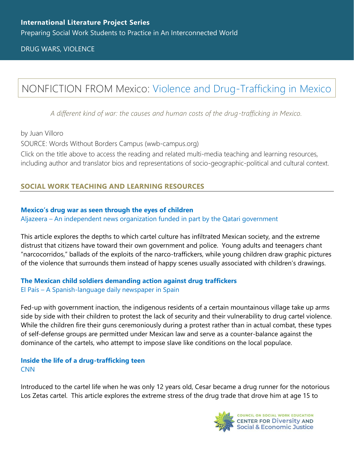DRUG WARS, VIOLENCE

# NONFICTION FROM Mexico: [Violence and Drug-Trafficking in Mexico](https://www.wwb-campus.org/literature/violence-and-drug-trafficking-in-mexico)

*A different kind of war: the causes and human costs of the drug-trafficking in Mexico.*

by Juan Villoro

SOURCE: Words Without Borders Campus (wwb-campus.org)

Click on the title above to access the reading and related multi-media teaching and learning resources, including author and translator bios and representations of socio-geographic-political and cultural context.

# **SOCIAL WORK TEACHING AND LEARNING RESOURCES**

#### **[Mexico's drug war as seen through the eyes of children](https://www.aljazeera.com/features/2016/12/11/mexicos-drug-war-as-seen-through-the-eyes-of-children)**

Aljazeera – [An independent news organization funded](https://www.aljazeera.com/features/2016/12/11/mexicos-drug-war-as-seen-through-the-eyes-of-children) in part by the Qatari government

This article explores the depths to which cartel culture has infiltrated Mexican society, and the extreme distrust that citizens have toward their own government and police. Young adults and teenagers chant "narcocorridos," ballads of the exploits of the narco-traffickers, while young children draw graphic pictures of the violence that surrounds them instead of happy scenes usually associated with children's drawings.

### **[The Mexican child soldiers demanding action against drug traffickers](https://english.elpais.com/usa/2021-04-13/the-mexican-child-soldiers-demanding-action-against-drug-traffickers.html)** El País – A [Spanish-language daily newspaper in Spain](https://english.elpais.com/usa/2021-04-13/the-mexican-child-soldiers-demanding-action-against-drug-traffickers.html)

Fed-up with government inaction, the indigenous residents of a certain mountainous village take up arms side by side with their children to protest the lack of security and their vulnerability to drug cartel violence. While the children fire their guns ceremoniously during a protest rather than in actual combat, these types of self-defense groups are permitted under Mexican law and serve as a counter-balance against the dominance of the cartels, who attempt to impose slave like conditions on the local populace.

# **[Inside the life of a drug-trafficking teen](https://www.cnn.com/2015/08/12/us/inside-the-life-of-a-drug-trafficking-teen/index.html) [CNN](https://www.cnn.com/2015/08/12/us/inside-the-life-of-a-drug-trafficking-teen/index.html)**

Introduced to the cartel life when he was only 12 years old, Cesar became a drug runner for the notorious Los Zetas cartel. This article explores the extreme stress of the drug trade that drove him at age 15 to